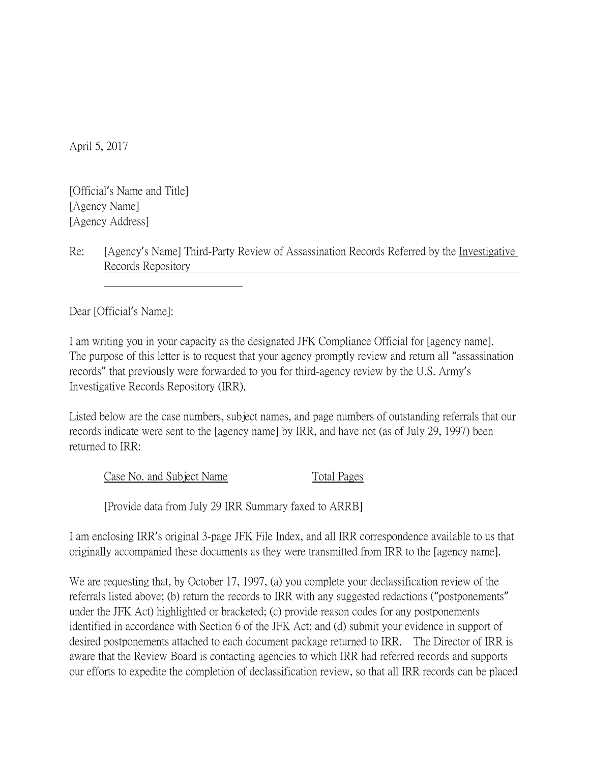April 5, 2017

[Official's Name and Title] [Agency Name] [Agency Address]

Re: [Agency's Name] Third-Party Review of Assassination Records Referred by the Investigative Records Repository

Dear [Official's Name]:

I am writing you in your capacity as the designated JFK Compliance Official for [agency name]. The purpose of this letter is to request that your agency promptly review and return all "assassination records" that previously were forwarded to you for third-agency review by the U.S. Army's Investigative Records Repository (IRR).

Listed below are the case numbers, subject names, and page numbers of outstanding referrals that our records indicate were sent to the [agency name] by IRR, and have not (as of July 29, 1997) been returned to IRR:

Case No. and Subject Name Total Pages

[Provide data from July 29 IRR Summary faxed to ARRB]

I am enclosing IRR's original 3-page JFK File Index, and all IRR correspondence available to us that originally accompanied these documents as they were transmitted from IRR to the [agency name].

We are requesting that, by October 17, 1997, (a) you complete your declassification review of the referrals listed above; (b) return the records to IRR with any suggested redactions ("postponements" under the JFK Act) highlighted or bracketed; (c) provide reason codes for any postponements identified in accordance with Section 6 of the JFK Act; and (d) submit your evidence in support of desired postponements attached to each document package returned to IRR. The Director of IRR is aware that the Review Board is contacting agencies to which IRR had referred records and supports our efforts to expedite the completion of declassification review, so that all IRR records can be placed